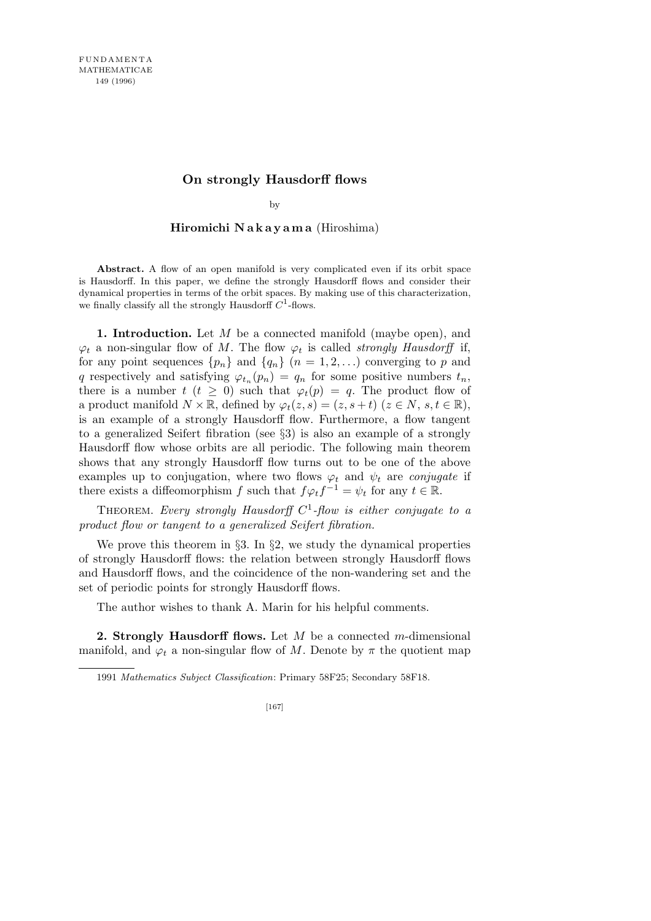# **On strongly Hausdorff flows**

by

## **Hiromichi N a k a y a m a** (Hiroshima)

**Abstract.** A flow of an open manifold is very complicated even if its orbit space is Hausdorff. In this paper, we define the strongly Hausdorff flows and consider their dynamical properties in terms of the orbit spaces. By making use of this characterization, we finally classify all the strongly Hausdorff  $C^1$ -flows.

**1. Introduction.** Let *M* be a connected manifold (maybe open), and  $\varphi_t$  a non-singular flow of *M*. The flow  $\varphi_t$  is called *strongly Hausdorff* if, for any point sequences  $\{p_n\}$  and  $\{q_n\}$  ( $n = 1, 2, \ldots$ ) converging to *p* and *q* respectively and satisfying  $\varphi_{t_n}(p_n) = q_n$  for some positive numbers  $t_n$ , there is a number  $t$  ( $t \geq 0$ ) such that  $\varphi_t(p) = q$ . The product flow of a product manifold  $N \times \mathbb{R}$ , defined by  $\varphi_t(z,s) = (z, s+t)$  ( $z \in N$ ,  $s, t \in \mathbb{R}$ ), is an example of a strongly Hausdorff flow. Furthermore, a flow tangent to a generalized Seifert fibration (see *§*3) is also an example of a strongly Hausdorff flow whose orbits are all periodic. The following main theorem shows that any strongly Hausdorff flow turns out to be one of the above examples up to conjugation, where two flows  $\varphi_t$  and  $\psi_t$  are *conjugate* if there exists a diffeomorphism *f* such that  $f \varphi_t f^{-1} = \psi_t$  for any  $t \in \mathbb{R}$ .

THEOREM. Every strongly Hausdorff C<sup>1</sup>-flow is either conjugate to a *product flow or tangent to a generalized Seifert fibration.*

We prove this theorem in *§*3. In *§*2, we study the dynamical properties of strongly Hausdorff flows: the relation between strongly Hausdorff flows and Hausdorff flows, and the coincidence of the non-wandering set and the set of periodic points for strongly Hausdorff flows.

The author wishes to thank A. Marin for his helpful comments.

**2. Strongly Hausdorff flows.** Let *M* be a connected *m*-dimensional manifold, and  $\varphi_t$  a non-singular flow of *M*. Denote by  $\pi$  the quotient map

1991 *Mathematics Subject Classification*: Primary 58F25; Secondary 58F18.

[167]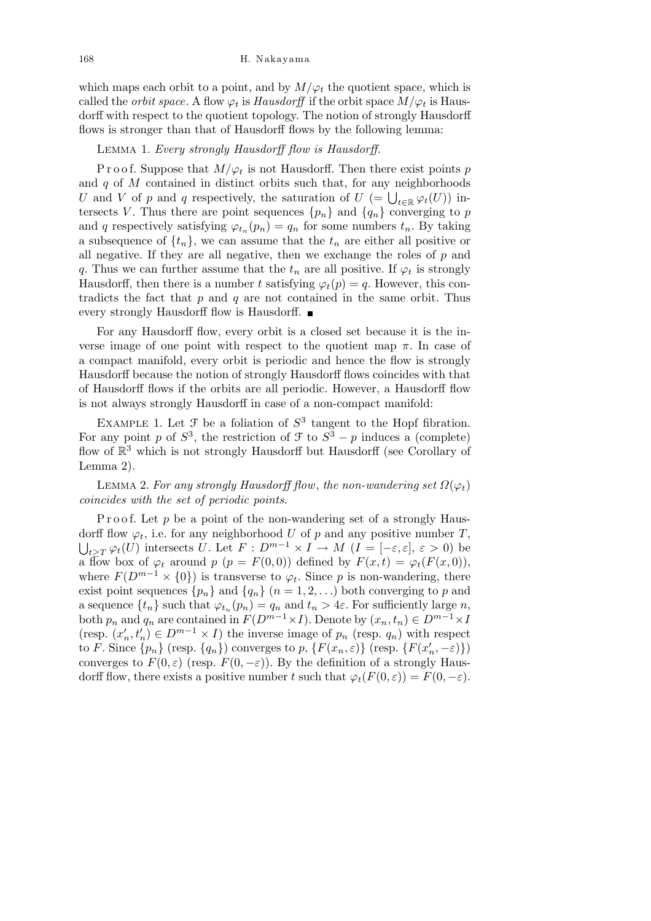which maps each orbit to a point, and by  $M/\varphi_t$  the quotient space, which is called the *orbit space*. A flow  $\varphi_t$  is *Hausdorff* if the orbit space  $M/\varphi_t$  is Hausdorff with respect to the quotient topology. The notion of strongly Hausdorff flows is stronger than that of Hausdorff flows by the following lemma:

## Lemma 1. *Every strongly Hausdorff flow is Hausdorff.*

P r o o f. Suppose that  $M/\varphi_t$  is not Hausdorff. Then there exist points *p* and *q* of *M* contained in distinct orbits such that, for any neighborhoods *U* and *V* of *p* and *q* respectively, the saturation of  $U$  (=  $\bigcup_{t \in \mathbb{R}} \varphi_t(U)$ ) intersects *V*. Thus there are point sequences  $\{p_n\}$  and  $\{q_n\}$  converging to *p* and *q* respectively satisfying  $\varphi_{t_n}(p_n) = q_n$  for some numbers  $t_n$ . By taking a subsequence of  $\{t_n\}$ , we can assume that the  $t_n$  are either all positive or all negative. If they are all negative, then we exchange the roles of *p* and *q*. Thus we can further assume that the  $t_n$  are all positive. If  $\varphi_t$  is strongly Hausdorff, then there is a number *t* satisfying  $\varphi_t(p) = q$ . However, this contradicts the fact that *p* and *q* are not contained in the same orbit. Thus every strongly Hausdorff flow is Hausdorff.

For any Hausdorff flow, every orbit is a closed set because it is the inverse image of one point with respect to the quotient map  $\pi$ . In case of a compact manifold, every orbit is periodic and hence the flow is strongly Hausdorff because the notion of strongly Hausdorff flows coincides with that of Hausdorff flows if the orbits are all periodic. However, a Hausdorff flow is not always strongly Hausdorff in case of a non-compact manifold:

EXAMPLE 1. Let  $\mathcal F$  be a foliation of  $S^3$  tangent to the Hopf fibration. For any point *p* of  $S^3$ , the restriction of  $\mathcal{F}$  to  $S^3 - p$  induces a (complete) flow of  $\mathbb{R}^3$  which is not strongly Hausdorff but Hausdorff (see Corollary of Lemma 2).

LEMMA 2. For any strongly Hausdorff flow, the non-wandering set  $\Omega(\varphi_t)$ *coincides with the set of periodic points.*

P roof. Let p be a point of the non-wandering set of a strongly Hausdorff flow  $\varphi_t$ , i.e. for any neighborhood *U* of *p* and any positive number *T*,  $t \geq T \varphi_t(U)$  intersects *U*. Let  $F: D^{m-1} \times I \to M$   $(I = [-\varepsilon, \varepsilon], \varepsilon > 0)$  be a flow box of  $\varphi_t$  around  $p$  ( $p = F(0,0)$ ) defined by  $F(x,t) = \varphi_t(F(x,0)),$ where  $F(D^{m-1} \times \{0\})$  is transverse to  $\varphi_t$ . Since *p* is non-wandering, there exist point sequences  $\{p_n\}$  and  $\{q_n\}$  ( $n = 1, 2, \ldots$ ) both converging to *p* and a sequence  $\{t_n\}$  such that  $\varphi_{t_n}(p_n) = q_n$  and  $t_n > 4\varepsilon$ . For sufficiently large *n*, both  $p_n$  and  $q_n$  are contained in  $F(D^{m-1} \times I)$ . Denote by  $(x_n, t_n) \in D^{m-1} \times I$ (resp.  $(x'_n, t'_n) \in D^{m-1} \times I$ ) the inverse image of  $p_n$  (resp.  $q_n$ ) with respect to F. Since  $\{p_n\}$  (resp.  $\{q_n\}$ ) converges to p,  $\{F(x_n, \varepsilon)\}$  (resp.  $\{F(x'_n, -\varepsilon)\}$ ) converges to  $F(0, \varepsilon)$  (resp.  $F(0, -\varepsilon)$ ). By the definition of a strongly Hausdorff flow, there exists a positive number *t* such that  $\varphi_t(F(0, \varepsilon)) = F(0, -\varepsilon)$ .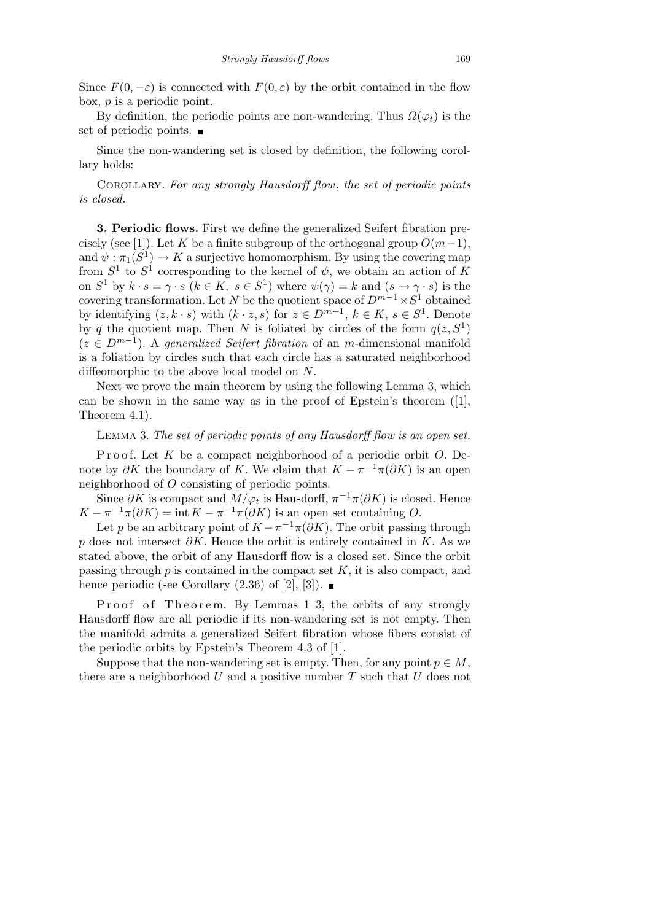Since  $F(0, -\varepsilon)$  is connected with  $F(0, \varepsilon)$  by the orbit contained in the flow box, *p* is a periodic point.

By definition, the periodic points are non-wandering. Thus  $\Omega(\varphi_t)$  is the set of periodic points.

Since the non-wandering set is closed by definition, the following corollary holds:

Corollary. *For any strongly Hausdorff flow*, *the set of periodic points is closed.*

**3. Periodic flows.** First we define the generalized Seifert fibration precisely (see [1]). Let *K* be a finite subgroup of the orthogonal group  $O(m-1)$ , and  $\psi : \pi_1(S^1) \to K$  a surjective homomorphism. By using the covering map from  $S^1$  to  $S^1$  corresponding to the kernel of  $\psi$ , we obtain an action of K on  $S^1$  by  $k \cdot s = \gamma \cdot s$  ( $k \in K$ ,  $s \in S^1$ ) where  $\psi(\gamma) = k$  and  $(s \mapsto \gamma \cdot s)$  is the covering transformation. Let *N* be the quotient space of  $D^{m-1} \times S^1$  obtained by identifying  $(z, k \cdot s)$  with  $(k \cdot z, s)$  for  $z \in D^{m-1}, k \in K, s \in S^1$ . Denote by *q* the quotient map. Then *N* is foliated by circles of the form  $q(z, S^1)$  $(z \in D^{m-1})$ . A *generalized Seifert fibration* of an *m*-dimensional manifold is a foliation by circles such that each circle has a saturated neighborhood diffeomorphic to the above local model on *N*.

Next we prove the main theorem by using the following Lemma 3, which can be shown in the same way as in the proof of Epstein's theorem ([1], Theorem 4.1).

## Lemma 3. *The set of periodic points of any Hausdorff flow is an open set.*

Proof. Let *K* be a compact neighborhood of a periodic orbit *O*. Denote by  $\partial K$  the boundary of *K*. We claim that  $K - \pi^{-1}\pi(\partial K)$  is an open neighborhood of *O* consisting of periodic points.

Since  $\partial K$  is compact and  $M/\varphi_t$  is Hausdorff,  $\pi^{-1}\pi(\partial K)$  is closed. Hence  $K - \pi^{-1}\pi(\partial K) = \text{int } K - \pi^{-1}\pi(\partial K)$  is an open set containing *O*.

Let *p* be an arbitrary point of  $K - \pi^{-1}\pi(\partial K)$ . The orbit passing through *p* does not intersect *∂K*. Hence the orbit is entirely contained in *K*. As we stated above, the orbit of any Hausdorff flow is a closed set. Since the orbit passing through *p* is contained in the compact set *K*, it is also compact, and hence periodic (see Corollary  $(2.36)$  of  $[2]$ ,  $[3]$ ).

Proof of Theorem. By Lemmas  $1-3$ , the orbits of any strongly Hausdorff flow are all periodic if its non-wandering set is not empty. Then the manifold admits a generalized Seifert fibration whose fibers consist of the periodic orbits by Epstein's Theorem 4.3 of [1].

Suppose that the non-wandering set is empty. Then, for any point  $p \in M$ , there are a neighborhood *U* and a positive number *T* such that *U* does not